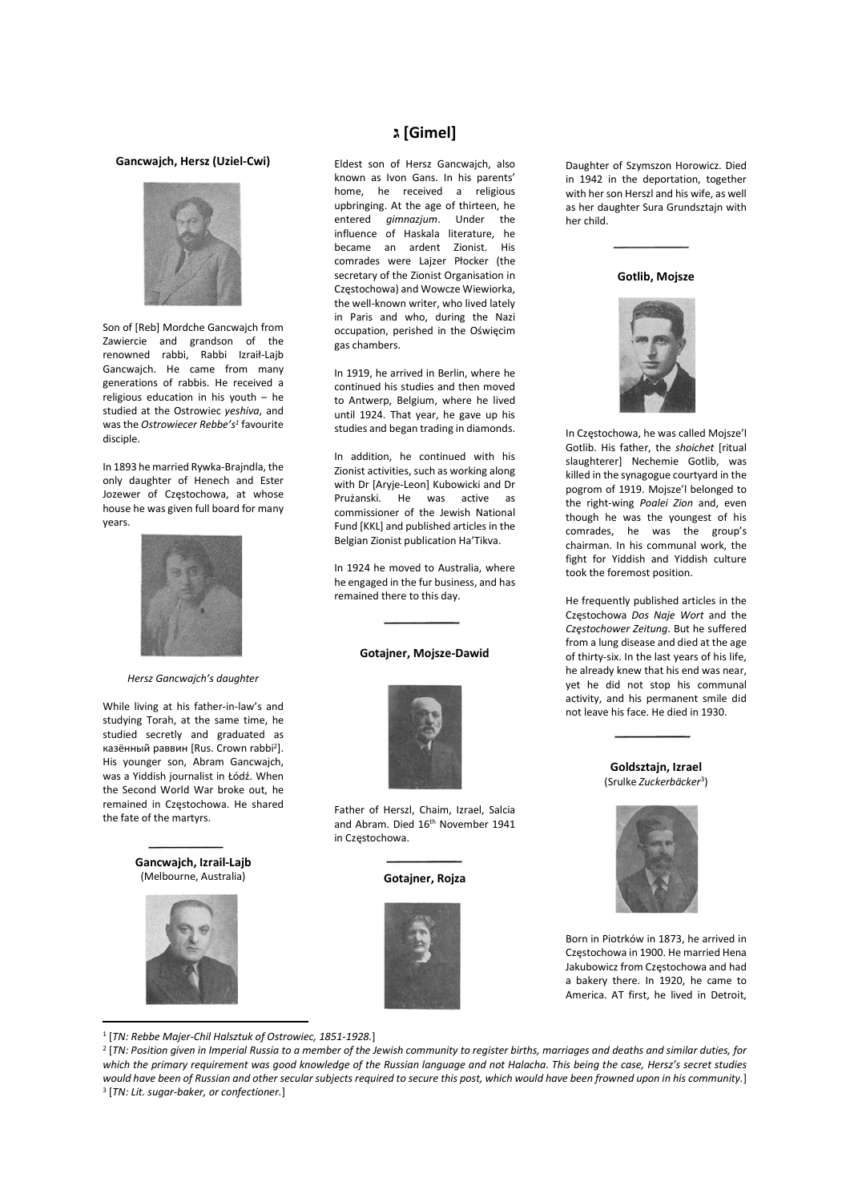# Gancwajch, Hersz (Uziel-Cwi)



Son of [Reb] Mordche Gancwajch from Zawiercie and grandson of the renowned rabbi, Rabbi Izraił-Lajb Gancwajch. He came from many generations of rabbis. He received a religious education in his youth – he studied at the Ostrowiec yeshiva, and was the Ostrowiecer Rebbe's<sup>1</sup> favourite disciple.

In 1893 he married Rywka-Brajndla, the only daughter of Henech and Ester Jozewer of Częstochowa, at whose house he was given full board for many years.



Hersz Gancwajch's daughter

While living at his father-in-law's and studying Torah, at the same time, he studied secretly and graduated as казённый раввин [Rus. Crown rabbi<sup>2</sup> ]. His younger son, Abram Gancwajch, was a Yiddish journalist in Łódź. When the Second World War broke out, he remained in Częstochowa. He shared the fate of the martyrs.

> Gancwajch, Izrail-Lajb (Melbourne, Australia)



# [Gimel [ג

Eldest son of Hersz Gancwajch, also known as Ivon Gans. In his parents' home, he received a religious upbringing. At the age of thirteen, he entered gimnazjum. Under the influence of Haskala literature, he became an ardent Zionist. His comrades were Lajzer Płocker (the secretary of the Zionist Organisation in Częstochowa) and Wowcze Wiewiorka, the well-known writer, who lived lately in Paris and who, during the Nazi occupation, perished in the Oświęcim gas chambers.

In 1919, he arrived in Berlin, where he continued his studies and then moved to Antwerp, Belgium, where he lived until 1924. That year, he gave up his studies and began trading in diamonds.

In addition, he continued with his Zionist activities, such as working along with Dr [Aryje-Leon] Kubowicki and Dr Prużanski. He was active as commissioner of the Jewish National Fund [KKL] and published articles in the Belgian Zionist publication Ha'Tikva.

In 1924 he moved to Australia, where he engaged in the fur business, and has remained there to this day.

# Gotajner, Mojsze-Dawid



Father of Herszl, Chaim, Izrael, Salcia and Abram. Died 16<sup>th</sup> November 1941 in Częstochowa.

#### Gotajner, Rojza



Daughter of Szymszon Horowicz. Died in 1942 in the deportation, together with her son Herszl and his wife, as well as her daughter Sura Grundsztajn with her child.

### Gotlib, Mojsze



In Częstochowa, he was called Mojsze'l Gotlib. His father, the shoichet [ritual slaughterer] Nechemie Gotlib, was killed in the synagogue courtyard in the pogrom of 1919. Mojsze'l belonged to the right-wing Poalei Zion and, even though he was the youngest of his comrades, he was the group's chairman. In his communal work, the fight for Yiddish and Yiddish culture took the foremost position.

He frequently published articles in the Częstochowa Dos Naje Wort and the Częstochower Zeitung. But he suffered from a lung disease and died at the age of thirty-six. In the last years of his life, he already knew that his end was near, yet he did not stop his communal activity, and his permanent smile did not leave his face. He died in 1930.

Goldsztajn, Izrael (Srulke Zuckerbäcker<sup>3</sup>)



Born in Piotrków in 1873, he arrived in Częstochowa in 1900. He married Hena Jakubowicz from Częstochowa and had a bakery there. In 1920, he came to America. AT first, he lived in Detroit,

1 [TN: Rebbe Majer‐Chil Halsztuk of Ostrowiec, 1851‐1928.]

2 [TN: Position given in Imperial Russia to a member of the Jewish community to register births, marriages and deaths and similar duties, for which the primary requirement was good knowledge of the Russian language and not Halacha. This being the case, Hersz's secret studies would have been of Russian and other secular subjects required to secure this post, which would have been frowned upon in his community.] <sup>3</sup> [TN: Lit. sugar-baker, or confectioner.]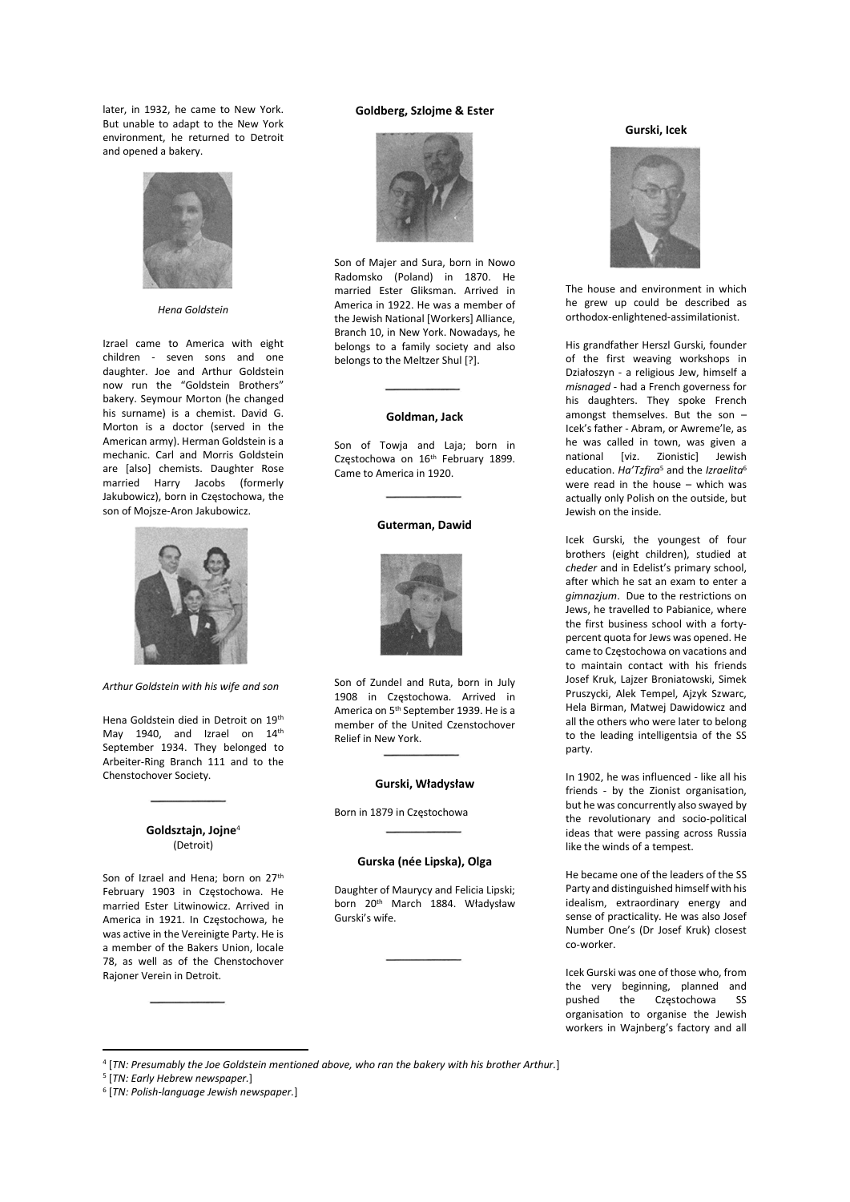later, in 1932, he came to New York. But unable to adapt to the New York environment, he returned to Detroit and opened a bakery.



Hena Goldstein

Izrael came to America with eight children - seven sons and one daughter. Joe and Arthur Goldstein now run the "Goldstein Brothers" bakery. Seymour Morton (he changed his surname) is a chemist. David G. Morton is a doctor (served in the American army). Herman Goldstein is a mechanic. Carl and Morris Goldstein are [also] chemists. Daughter Rose married Harry Jacobs (formerly Jakubowicz), born in Częstochowa, the son of Mojsze-Aron Jakubowicz.



Arthur Goldstein with his wife and son

Hena Goldstein died in Detroit on 19th May 1940, and Izrael on 14<sup>th</sup> September 1934. They belonged to Arbeiter-Ring Branch 111 and to the Chenstochover Society.

# Goldsztajn, Jojne<sup>4</sup> (Detroit)

Son of Izrael and Hena; born on 27<sup>th</sup> February 1903 in Częstochowa. He married Ester Litwinowicz. Arrived in America in 1921. In Częstochowa, he was active in the Vereinigte Party. He is a member of the Bakers Union, locale 78, as well as of the Chenstochover Rajoner Verein in Detroit.

### Goldberg, Szlojme & Ester



Son of Majer and Sura, born in Nowo Radomsko (Poland) in 1870. He married Ester Gliksman. Arrived in America in 1922. He was a member of the Jewish National [Workers] Alliance, Branch 10, in New York. Nowadays, he belongs to a family society and also belongs to the Meltzer Shul [?].

# Goldman, Jack

Son of Towja and Laja; born in Częstochowa on 16<sup>th</sup> February 1899. Came to America in 1920.

# Guterman, Dawid



Son of Zundel and Ruta, born in July 1908 in Częstochowa. Arrived in America on 5th September 1939. He is a member of the United Czenstochover Relief in New York.

### Gurski, Władysław

Born in 1879 in Częstochowa

#### Gurska (née Lipska), Olga

Daughter of Maurycy and Felicia Lipski; born 20th March 1884. Władysław Gurski's wife.

# Gurski, Icek



The house and environment in which he grew up could be described as orthodox-enlightened-assimilationist.

His grandfather Herszl Gurski, founder of the first weaving workshops in Działoszyn - a religious Jew, himself a misnaged - had a French governess for his daughters. They spoke French amongst themselves. But the son – Icek's father - Abram, or Awreme'le, as he was called in town, was given a national [viz. Zionistic] Jewish education. Ha'Tzfira<sup>5</sup> and the Izraelita<sup>6</sup> were read in the house – which was actually only Polish on the outside, but Jewish on the inside.

Icek Gurski, the youngest of four brothers (eight children), studied at cheder and in Edelist's primary school, after which he sat an exam to enter a gimnazjum. Due to the restrictions on Jews, he travelled to Pabianice, where the first business school with a fortypercent quota for Jews was opened. He came to Częstochowa on vacations and to maintain contact with his friends Josef Kruk, Lajzer Broniatowski, Simek Pruszycki, Alek Tempel, Ajzyk Szwarc, Hela Birman, Matwej Dawidowicz and all the others who were later to belong to the leading intelligentsia of the SS party.

In 1902, he was influenced - like all his friends - by the Zionist organisation, but he was concurrently also swayed by the revolutionary and socio-political ideas that were passing across Russia like the winds of a tempest.

He became one of the leaders of the SS Party and distinguished himself with his idealism, extraordinary energy and sense of practicality. He was also Josef Number One's (Dr Josef Kruk) closest co-worker.

Icek Gurski was one of those who, from the very beginning, planned and pushed the Częstochowa SS organisation to organise the Jewish workers in Wajnberg's factory and all

<sup>4</sup> [TN: Presumably the Joe Goldstein mentioned above, who ran the bakery with his brother Arthur.]

<sup>&</sup>lt;sup>5</sup> [TN: Early Hebrew newspaper.]

<sup>6</sup> [TN: Polish‐language Jewish newspaper.]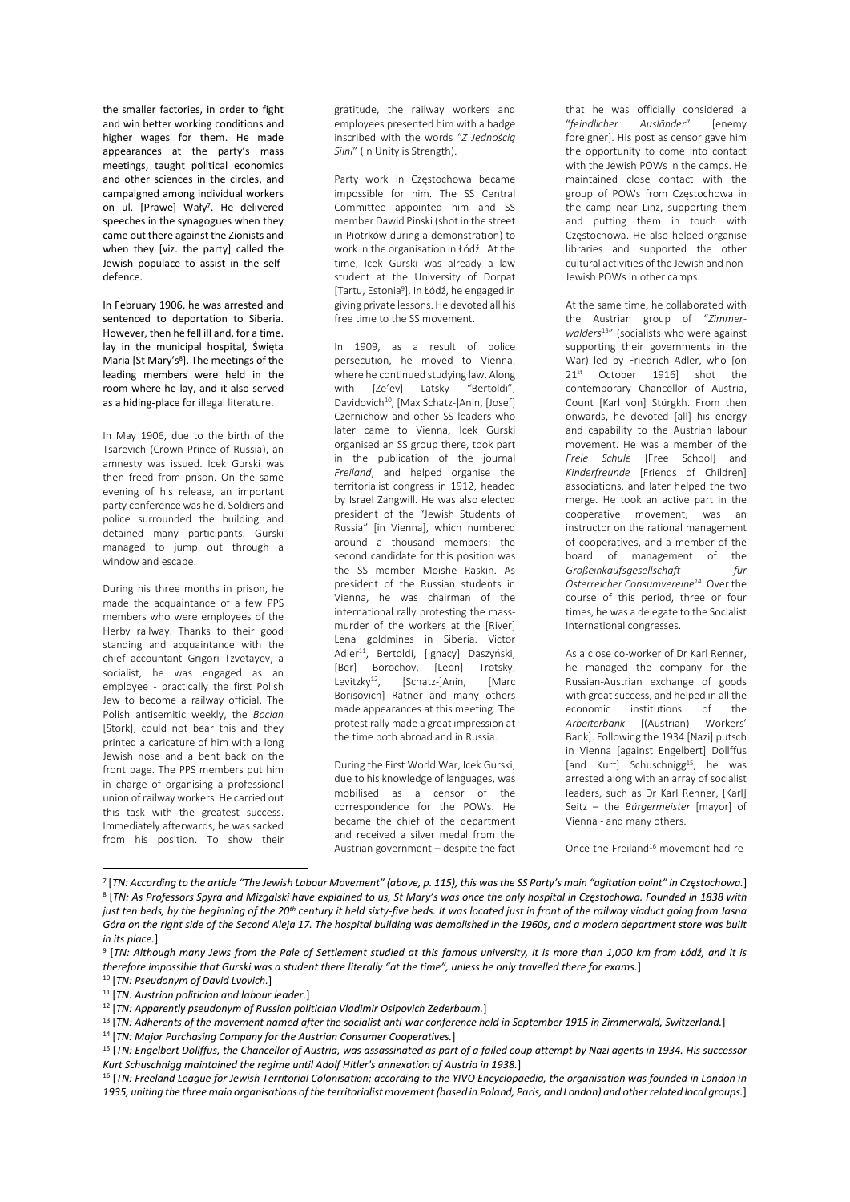the smaller factories, in order to fight and win better working conditions and higher wages for them. He made appearances at the party's mass meetings, taught political economics and other sciences in the circles, and campaigned among individual workers on ul. [Prawe] Wały<sup>7</sup>. He delivered speeches in the synagogues when they came out there against the Zionists and when they [viz. the party] called the Jewish populace to assist in the selfdefence.

In February 1906, he was arrested and sentenced to deportation to Siberia. However, then he fell ill and, for a time. lay in the municipal hospital, Święta Maria [St Mary's<sup>8</sup>]. The meetings of the leading members were held in the room where he lay, and it also served as a hiding-place for illegal literature.

In May 1906, due to the birth of the Tsarevich (Crown Prince of Russia), an amnesty was issued. Icek Gurski was then freed from prison. On the same evening of his release, an important party conference was held. Soldiers and police surrounded the building and detained many participants. Gurski managed to jump out through a window and escape.

During his three months in prison, he made the acquaintance of a few PPS members who were employees of the Herby railway. Thanks to their good standing and acquaintance with the chief accountant Grigori Tzvetayev, a socialist, he was engaged as an employee - practically the first Polish Jew to become a railway official. The Polish antisemitic weekly, the Bocian [Stork], could not bear this and they printed a caricature of him with a long Jewish nose and a bent back on the front page. The PPS members put him in charge of organising a professional union of railway workers. He carried out this task with the greatest success. Immediately afterwards, he was sacked from his position. To show their

gratitude, the railway workers and employees presented him with a badge inscribed with the words "Z Jednością Silni" (In Unity is Strength).

Party work in Częstochowa became impossible for him. The SS Central Committee appointed him and SS member Dawid Pinski (shot in the street in Piotrków during a demonstration) to work in the organisation in Łódź. At the time, Icek Gurski was already a law student at the University of Dorpat [Tartu, Estonia<sup>9</sup> ]. In Łódź, he engaged in giving private lessons. He devoted all his free time to the SS movement.

In 1909, as a result of police persecution, he moved to Vienna, where he continued studying law. Along with [Ze'ev] Latsky "Bertoldi", Davidovich<sup>10</sup>, [Max Schatz-]Anin, [Josef] Czernichow and other SS leaders who later came to Vienna, Icek Gurski organised an SS group there, took part in the publication of the journal Freiland, and helped organise the territorialist congress in 1912, headed by Israel Zangwill. He was also elected president of the "Jewish Students of Russia" [in Vienna], which numbered around a thousand members; the second candidate for this position was the SS member Moishe Raskin. As president of the Russian students in Vienna, he was chairman of the international rally protesting the massmurder of the workers at the [River] Lena goldmines in Siberia. Victor Adler<sup>11</sup>, Bertoldi, [Ignacy] Daszyński, [Ber] Borochov, [Leon] Trotsky, Levitzky<sup>12</sup>, [Schatz-]Anin, [Marc Borisovich] Ratner and many others made appearances at this meeting. The protest rally made a great impression at the time both abroad and in Russia.

During the First World War, Icek Gurski, due to his knowledge of languages, was mobilised as a censor of the correspondence for the POWs. He became the chief of the department and received a silver medal from the Austrian government – despite the fact

that he was officially considered a "feindlicher Ausländer" [enemy foreigner]. His post as censor gave him the opportunity to come into contact with the Jewish POWs in the camps. He maintained close contact with the group of POWs from Częstochowa in the camp near Linz, supporting them and putting them in touch with Częstochowa. He also helped organise libraries and supported the other cultural activities of the Jewish and non-Jewish POWs in other camps.

At the same time, he collaborated with the Austrian group of "Zimmerwalders<sup>13"</sup> (socialists who were against supporting their governments in the War) led by Friedrich Adler, who [on 21<sup>st</sup> October 1916] shot the contemporary Chancellor of Austria, Count [Karl von] Stürgkh. From then onwards, he devoted [all] his energy and capability to the Austrian labour movement. He was a member of the Freie Schule [Free School] and Kinderfreunde [Friends of Children] associations, and later helped the two merge. He took an active part in the cooperative movement, was an instructor on the rational management of cooperatives, and a member of the board of management of the Großeinkaufsgesellschaft für Österreicher Consumvereine<sup>14</sup>. Over the course of this period, three or four times, he was a delegate to the Socialist International congresses.

As a close co-worker of Dr Karl Renner, he managed the company for the Russian-Austrian exchange of goods with great success, and helped in all the economic institutions of the Arbeiterbank [(Austrian) Workers' Bank]. Following the 1934 [Nazi] putsch in Vienna [against Engelbert] Dollffus [and Kurt] Schuschnigg<sup>15</sup>, he was arrested along with an array of socialist leaders, such as Dr Karl Renner, [Karl] Seitz – the *Bürgermeister* [mayor] of Vienna - and many others.

Once the Freiland<sup>16</sup> movement had re-

<sup>10</sup> [TN: Pseudonym of David Lvovich.]

13 [TN: Adherents of the movement named after the socialist anti-war conference held in September 1915 in Zimmerwald, Switzerland.]

<sup>14</sup> [TN: Major Purchasing Company for the Austrian Consumer Cooperatives.]

<sup>7</sup> [TN: According to the article "The Jewish Labour Movement" (above, p. 115), this was the SS Party's main "agitation point" in Częstochowa.] 8 [TN: As Professors Spyra and Mizgalski have explained to us, St Mary's was once the only hospital in Częstochowa. Founded in 1838 with just ten beds, by the beginning of the 20<sup>th</sup> century it held sixty-five beds. It was located just in front of the railway viaduct going from Jasna Góra on the right side of the Second Aleja 17. The hospital building was demolished in the 1960s, and a modern department store was built in its place.]

<sup>9</sup> [TN: Although many Jews from the Pale of Settlement studied at this famous university, it is more than 1,000 km from Łódź, and it is therefore impossible that Gurski was a student there literally "at the time", unless he only travelled there for exams.]

<sup>&</sup>lt;sup>11</sup> [TN: Austrian politician and labour leader.]

<sup>&</sup>lt;sup>12</sup> [TN: Apparently pseudonym of Russian politician Vladimir Osipovich Zederbaum.]

<sup>&</sup>lt;sup>15</sup> [TN: Engelbert Dollffus, the Chancellor of Austria, was assassinated as part of a failed coup attempt by Nazi agents in 1934. His successor Kurt Schuschnigg maintained the regime until Adolf Hitler's annexation of Austria in 1938.]

<sup>&</sup>lt;sup>16</sup> [TN: Freeland League for Jewish Territorial Colonisation; according to the YIVO Encyclopaedia, the organisation was founded in London in 1935, uniting the three main organisations of the territorialist movement (based in Poland, Paris, and London) and other related local groups.]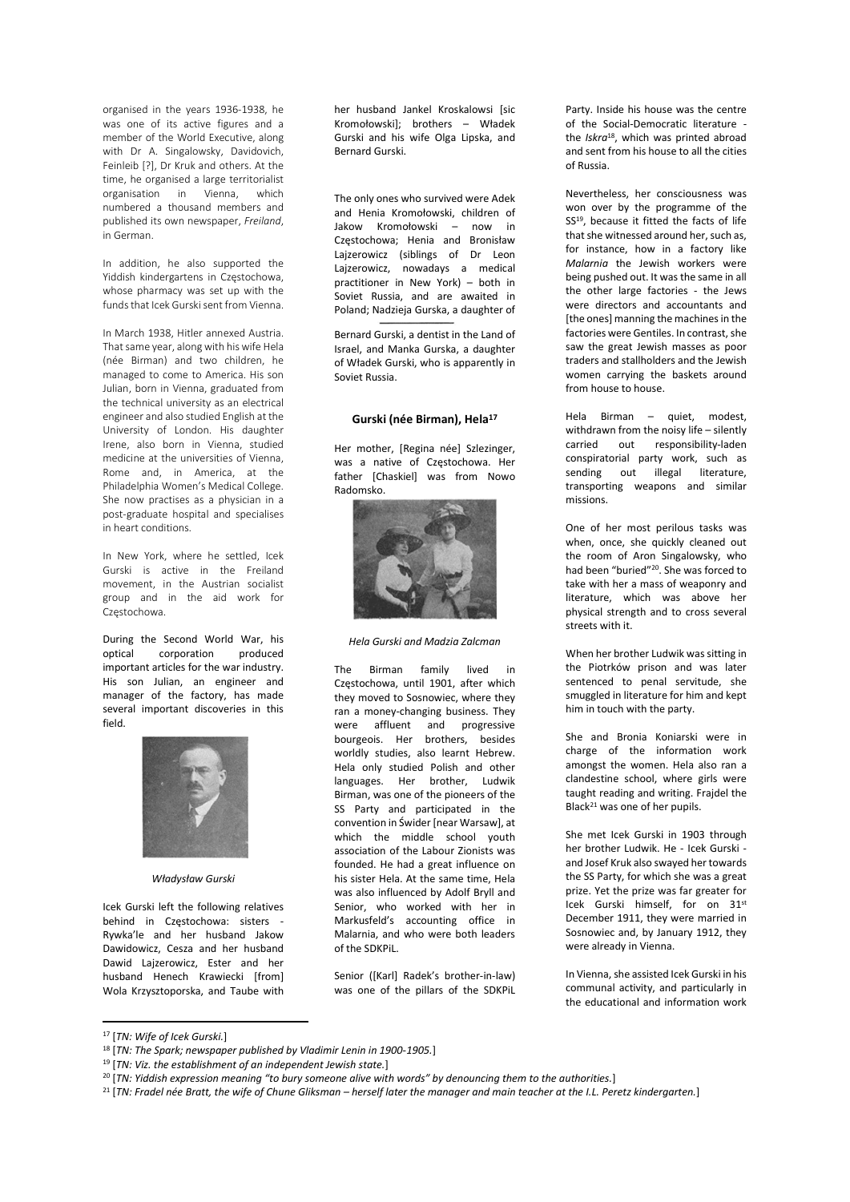organised in the years 1936-1938, he was one of its active figures and a member of the World Executive, along with Dr A. Singalowsky, Davidovich, Feinleib [?], Dr Kruk and others. At the time, he organised a large territorialist organisation in Vienna, which numbered a thousand members and published its own newspaper, Freiland, in German.

In addition, he also supported the Yiddish kindergartens in Częstochowa, whose pharmacy was set up with the funds that Icek Gurski sent from Vienna.

In March 1938, Hitler annexed Austria. That same year, along with his wife Hela (née Birman) and two children, he managed to come to America. His son Julian, born in Vienna, graduated from the technical university as an electrical engineer and also studied English at the University of London. His daughter Irene, also born in Vienna, studied medicine at the universities of Vienna, Rome and, in America, at the Philadelphia Women's Medical College. She now practises as a physician in a post-graduate hospital and specialises in heart conditions.

In New York, where he settled, Icek Gurski is active in the Freiland movement, in the Austrian socialist group and in the aid work for Częstochowa.

During the Second World War, his optical corporation produced important articles for the war industry. His son Julian, an engineer and manager of the factory, has made several important discoveries in this field.



# Władysław Gurski

Icek Gurski left the following relatives behind in Częstochowa: sisters - Rywka'le and her husband Jakow Dawidowicz, Cesza and her husband Dawid Lajzerowicz, Ester and her husband Henech Krawiecki [from] Wola Krzysztoporska, and Taube with

her husband Jankel Kroskalowsi [sic Kromołowski]; brothers – Władek Gurski and his wife Olga Lipska, and Bernard Gurski.

The only ones who survived were Adek and Henia Kromołowski, children of Jakow Kromołowski – now in Częstochowa; Henia and Bronisław Lajzerowicz (siblings of Dr Leon Lajzerowicz, nowadays a medical practitioner in New York) – both in Soviet Russia, and are awaited in Poland; Nadzieja Gurska, a daughter of

Bernard Gurski, a dentist in the Land of Israel, and Manka Gurska, a daughter of Władek Gurski, who is apparently in Soviet Russia.

#### Gurski (née Birman), Hela<sup>17</sup>

Her mother, [Regina née] Szlezinger, was a native of Częstochowa. Her father [Chaskiel] was from Nowo Radomsko.



#### Hela Gurski and Madzia Zalcman

The Birman family lived in Częstochowa, until 1901, after which they moved to Sosnowiec, where they ran a money-changing business. They were affluent and progressive bourgeois. Her brothers, besides worldly studies, also learnt Hebrew. Hela only studied Polish and other languages. Her brother, Ludwik Birman, was one of the pioneers of the SS Party and participated in the convention in Świder [near Warsaw], at which the middle school youth association of the Labour Zionists was founded. He had a great influence on his sister Hela. At the same time, Hela was also influenced by Adolf Bryll and Senior, who worked with her in Markusfeld's accounting office in Malarnia, and who were both leaders of the SDKPiL.

Senior ([Karl] Radek's brother-in-law) was one of the pillars of the SDKPiL

Party. Inside his house was the centre of the Social-Democratic literature the *Iskra*<sup>18</sup>, which was printed abroad and sent from his house to all the cities of Russia.

Nevertheless, her consciousness was won over by the programme of the SS<sup>19</sup>, because it fitted the facts of life that she witnessed around her, such as, for instance, how in a factory like Malarnia the Jewish workers were being pushed out. It was the same in all the other large factories - the Jews were directors and accountants and [the ones] manning the machines in the factories were Gentiles. In contrast, she saw the great Jewish masses as poor traders and stallholders and the Jewish women carrying the baskets around from house to house.

Hela Birman – quiet, modest, withdrawn from the noisy life – silently carried out responsibility-laden conspiratorial party work, such as sending out illegal literature, transporting weapons and similar missions.

One of her most perilous tasks was when, once, she quickly cleaned out the room of Aron Singalowsky, who had been "buried"<sup>20</sup>. She was forced to take with her a mass of weaponry and literature, which was above her physical strength and to cross several streets with it.

When her brother Ludwik was sitting in the Piotrków prison and was later sentenced to penal servitude, she smuggled in literature for him and kept him in touch with the party.

She and Bronia Koniarski were in charge of the information work amongst the women. Hela also ran a clandestine school, where girls were taught reading and writing. Frajdel the Black<sup>21</sup> was one of her pupils.

She met Icek Gurski in 1903 through her brother Ludwik. He - Icek Gurski and Josef Kruk also swayed her towards the SS Party, for which she was a great prize. Yet the prize was far greater for Icek Gurski himself, for on 31st December 1911, they were married in Sosnowiec and, by January 1912, they were already in Vienna.

In Vienna, she assisted Icek Gurski in his communal activity, and particularly in the educational and information work

<sup>&</sup>lt;sup>17</sup> [TN: Wife of Icek Gurski.]

<sup>&</sup>lt;sup>18</sup> [TN: The Spark; newspaper published by Vladimir Lenin in 1900-1905.]

<sup>&</sup>lt;sup>19</sup> [TN: Viz. the establishment of an independent Jewish state.]

<sup>&</sup>lt;sup>20</sup> [TN: Yiddish expression meaning "to bury someone alive with words" by denouncing them to the authorities.]

 $21$  [TN: Fradel née Bratt, the wife of Chune Gliksman – herself later the manager and main teacher at the I.L. Peretz kindergarten.]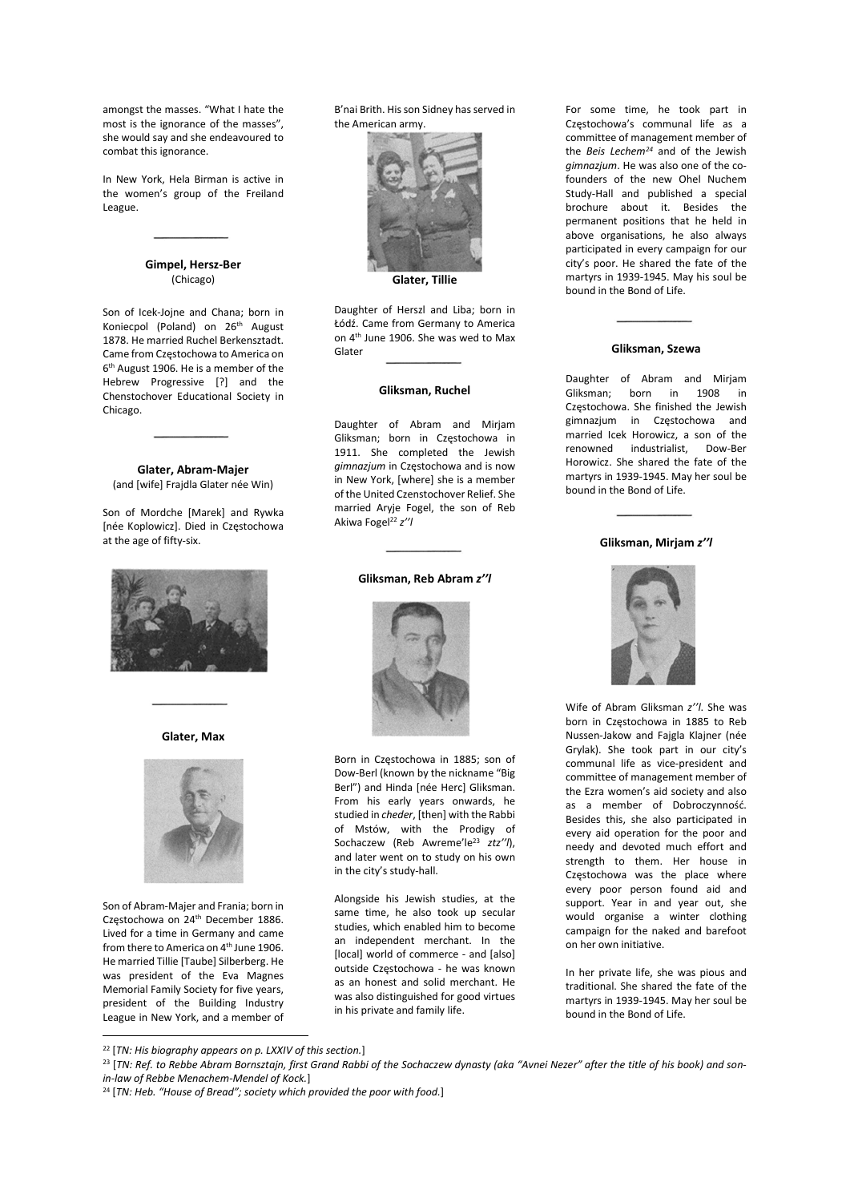amongst the masses. "What I hate the most is the ignorance of the masses", she would say and she endeavoured to combat this ignorance.

In New York, Hela Birman is active in the women's group of the Freiland League.

# Gimpel, Hersz-Ber (Chicago)

Son of Icek-Jojne and Chana; born in Koniecpol (Poland) on 26<sup>th</sup> August 1878. He married Ruchel Berkensztadt. Came from Częstochowa to America on 6 th August 1906. He is a member of the Hebrew Progressive [?] and the Chenstochover Educational Society in Chicago.

Glater, Abram-Majer (and [wife] Frajdla Glater née Win)

Son of Mordche [Marek] and Rywka [née Koplowicz]. Died in Częstochowa at the age of fifty-six.



Glater, Max



Son of Abram-Majer and Frania; born in Częstochowa on 24th December 1886. Lived for a time in Germany and came from there to America on 4<sup>th</sup> June 1906. He married Tillie [Taube] Silberberg. He was president of the Eva Magnes Memorial Family Society for five years, president of the Building Industry League in New York, and a member of

B'nai Brith. His son Sidney has served in the American army.



Glater, Tillie

Daughter of Herszl and Liba; born in Łódź. Came from Germany to America on 4th June 1906. She was wed to Max Glater

# Gliksman, Ruchel

Daughter of Abram and Mirjam Gliksman; born in Częstochowa in 1911. She completed the Jewish gimnazjum in Częstochowa and is now in New York, [where] she is a member of the United Czenstochover Relief. She married Aryje Fogel, the son of Reb Akiwa Fogel<sup>22</sup>  $z''$ 

# Gliksman, Reb Abram z''l



Born in Częstochowa in 1885; son of Dow-Berl (known by the nickname "Big Berl") and Hinda [née Herc] Gliksman. From his early years onwards, he studied in cheder, [then] with the Rabbi of Mstów, with the Prodigy of Sochaczew (Reb Awreme'le<sup>23</sup> ztz''), and later went on to study on his own in the city's study-hall.

Alongside his Jewish studies, at the same time, he also took up secular studies, which enabled him to become an independent merchant. In the [local] world of commerce - and [also] outside Częstochowa - he was known as an honest and solid merchant. He was also distinguished for good virtues in his private and family life.

For some time, he took part in Częstochowa's communal life as a committee of management member of the Beis Lechem<sup>24</sup> and of the Jewish gimnazjum. He was also one of the cofounders of the new Ohel Nuchem Study-Hall and published a special brochure about it. Besides the permanent positions that he held in above organisations, he also always participated in every campaign for our city's poor. He shared the fate of the martyrs in 1939-1945. May his soul be bound in the Bond of Life.

# Gliksman, Szewa

Daughter of Abram and Mirjam Gliksman; born in 1908 in Częstochowa. She finished the Jewish gimnazjum in Częstochowa and married Icek Horowicz, a son of the renowned industrialist, Dow-Ber Horowicz. She shared the fate of the martyrs in 1939-1945. May her soul be bound in the Bond of Life.

### Gliksman, Mirjam z''l



Wife of Abram Gliksman z''l. She was born in Częstochowa in 1885 to Reb Nussen-Jakow and Fajgla Klajner (née Grylak). She took part in our city's communal life as vice-president and committee of management member of the Ezra women's aid society and also as a member of Dobroczynność. Besides this, she also participated in every aid operation for the poor and needy and devoted much effort and strength to them. Her house in Częstochowa was the place where every poor person found aid and support. Year in and year out, she would organise a winter clothing campaign for the naked and barefoot on her own initiative.

In her private life, she was pious and traditional. She shared the fate of the martyrs in 1939-1945. May her soul be bound in the Bond of Life.

 $22$  [TN: His biography appears on p. LXXIV of this section.]

<sup>&</sup>lt;sup>23</sup> [TN: Ref. to Rebbe Abram Bornsztajn, first Grand Rabbi of the Sochaczew dynasty (aka "Avnei Nezer" after the title of his book) and sonin‐law of Rebbe Menachem‐Mendel of Kock.]

<sup>&</sup>lt;sup>24</sup> [TN: Heb. "House of Bread"; society which provided the poor with food.]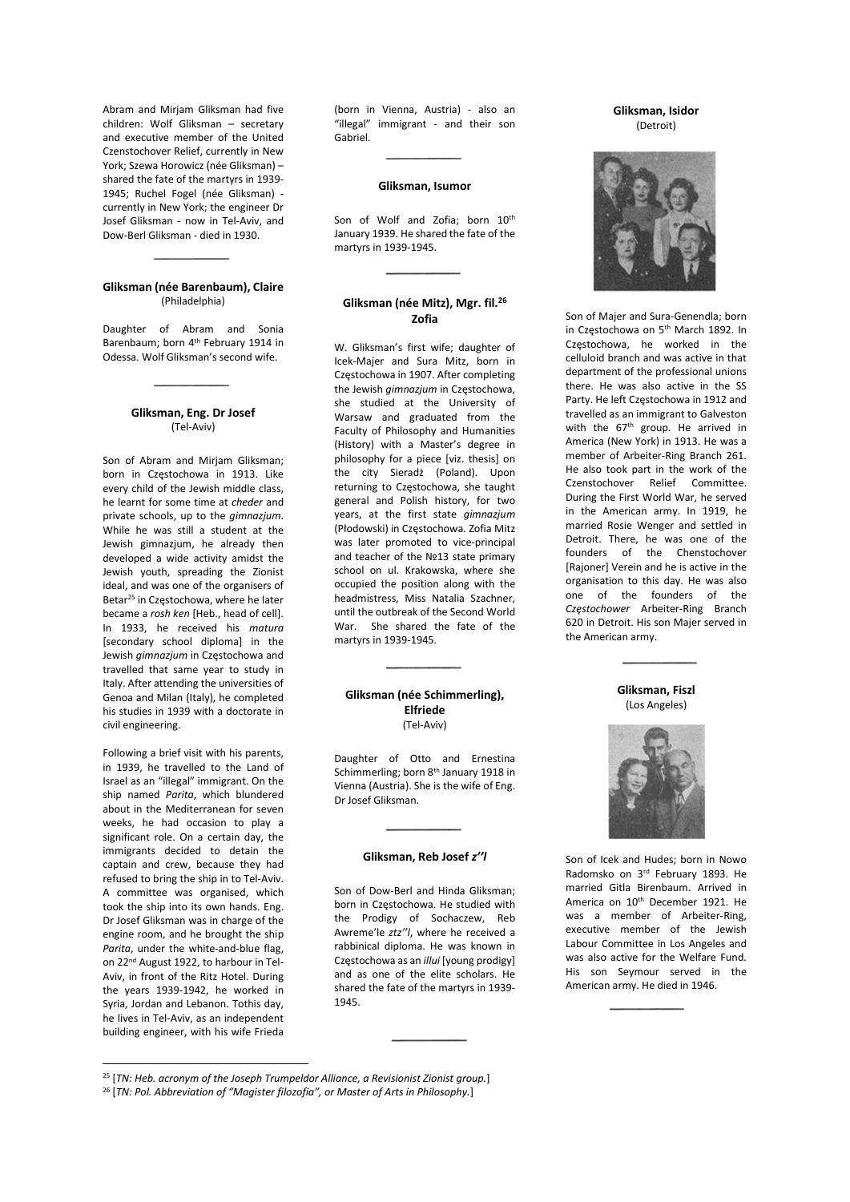Abram and Mirjam Gliksman had five children: Wolf Gliksman – secretary and executive member of the United Czenstochover Relief, currently in New York; Szewa Horowicz (née Gliksman) – shared the fate of the martyrs in 1939- 1945; Ruchel Fogel (née Gliksman) currently in New York; the engineer Dr Josef Gliksman - now in Tel-Aviv, and Dow-Berl Gliksman - died in 1930.

# Gliksman (née Barenbaum), Claire (Philadelphia)

Daughter of Abram and Sonia Barenbaum; born 4th February 1914 in Odessa. Wolf Gliksman's second wife.

# Gliksman, Eng. Dr Josef (Tel-Aviv)

Son of Abram and Mirjam Gliksman; born in Częstochowa in 1913. Like every child of the Jewish middle class, he learnt for some time at cheder and private schools, up to the gimnazjum. While he was still a student at the Jewish gimnazjum, he already then developed a wide activity amidst the Jewish youth, spreading the Zionist ideal, and was one of the organisers of Betar<sup>25</sup> in Częstochowa, where he later became a rosh ken [Heb., head of cell]. In 1933, he received his matura [secondary school diploma] in the Jewish gimnazjum in Częstochowa and travelled that same year to study in Italy. After attending the universities of Genoa and Milan (Italy), he completed his studies in 1939 with a doctorate in civil engineering.

Following a brief visit with his parents, in 1939, he travelled to the Land of Israel as an "illegal" immigrant. On the ship named Parita, which blundered about in the Mediterranean for seven weeks, he had occasion to play a significant role. On a certain day, the immigrants decided to detain the captain and crew, because they had refused to bring the ship in to Tel-Aviv. A committee was organised, which took the ship into its own hands. Eng. Dr Josef Gliksman was in charge of the engine room, and he brought the ship Parita, under the white-and-blue flag, on 22nd August 1922, to harbour in Tel-Aviv, in front of the Ritz Hotel. During the years 1939-1942, he worked in Syria, Jordan and Lebanon. Tothis day, he lives in Tel-Aviv, as an independent building engineer, with his wife Frieda

(born in Vienna, Austria) - also an "illegal" immigrant - and their son Gabriel.

#### Gliksman, Isumor

Son of Wolf and Zofia; born 10<sup>th</sup> January 1939. He shared the fate of the martyrs in 1939-1945.

# Gliksman (née Mitz), Mgr. fil.<sup>26</sup> Zofia

W. Gliksman's first wife; daughter of Icek-Majer and Sura Mitz, born in Częstochowa in 1907. After completing the Jewish gimnazjum in Częstochowa, she studied at the University of Warsaw and graduated from the Faculty of Philosophy and Humanities (History) with a Master's degree in philosophy for a piece [viz. thesis] on the city Sieradż (Poland). Upon returning to Częstochowa, she taught general and Polish history, for two years, at the first state gimnazjum (Płodowski) in Częstochowa. Zofia Mitz was later promoted to vice-principal and teacher of the №13 state primary school on ul. Krakowska, where she occupied the position along with the headmistress, Miss Natalia Szachner, until the outbreak of the Second World War. She shared the fate of the martyrs in 1939-1945.

# Gliksman (née Schimmerling), Elfriede (Tel-Aviv)

Daughter of Otto and Ernestina Schimmerling; born 8<sup>th</sup> January 1918 in Vienna (Austria). She is the wife of Eng. Dr Josef Gliksman.

#### Gliksman, Reb Josef z''l

Son of Dow-Berl and Hinda Gliksman; born in Częstochowa. He studied with the Prodigy of Sochaczew, Reb Awreme'le ztz''l, where he received a rabbinical diploma. He was known in Częstochowa as an illui [young prodigy] and as one of the elite scholars. He shared the fate of the martyrs in 1939- 1945.

#### Gliksman, Isidor (Detroit)



Son of Majer and Sura-Genendla; born in Częstochowa on 5<sup>th</sup> March 1892. In Częstochowa, he worked in the celluloid branch and was active in that department of the professional unions there. He was also active in the SS Party. He left Częstochowa in 1912 and travelled as an immigrant to Galveston with the 67<sup>th</sup> group. He arrived in America (New York) in 1913. He was a member of Arbeiter-Ring Branch 261. He also took part in the work of the Czenstochover Relief Committee. During the First World War, he served in the American army. In 1919, he married Rosie Wenger and settled in Detroit. There, he was one of the founders of the Chenstochover [Rajoner] Verein and he is active in the organisation to this day. He was also one of the founders of the Częstochower Arbeiter-Ring Branch 620 in Detroit. His son Majer served in the American army.

> Gliksman, Fiszl (Los Angeles)



Son of Icek and Hudes; born in Nowo Radomsko on 3rd February 1893. He married Gitla Birenbaum. Arrived in America on 10<sup>th</sup> December 1921. He was a member of Arbeiter-Ring, executive member of the Jewish Labour Committee in Los Angeles and was also active for the Welfare Fund. His son Seymour served in the American army. He died in 1946.

 $25$  [TN: Heb. acronym of the Joseph Trumpeldor Alliance, a Revisionist Zionist group.]

 $26$  [TN: Pol. Abbreviation of "Magister filozofia", or Master of Arts in Philosophy.]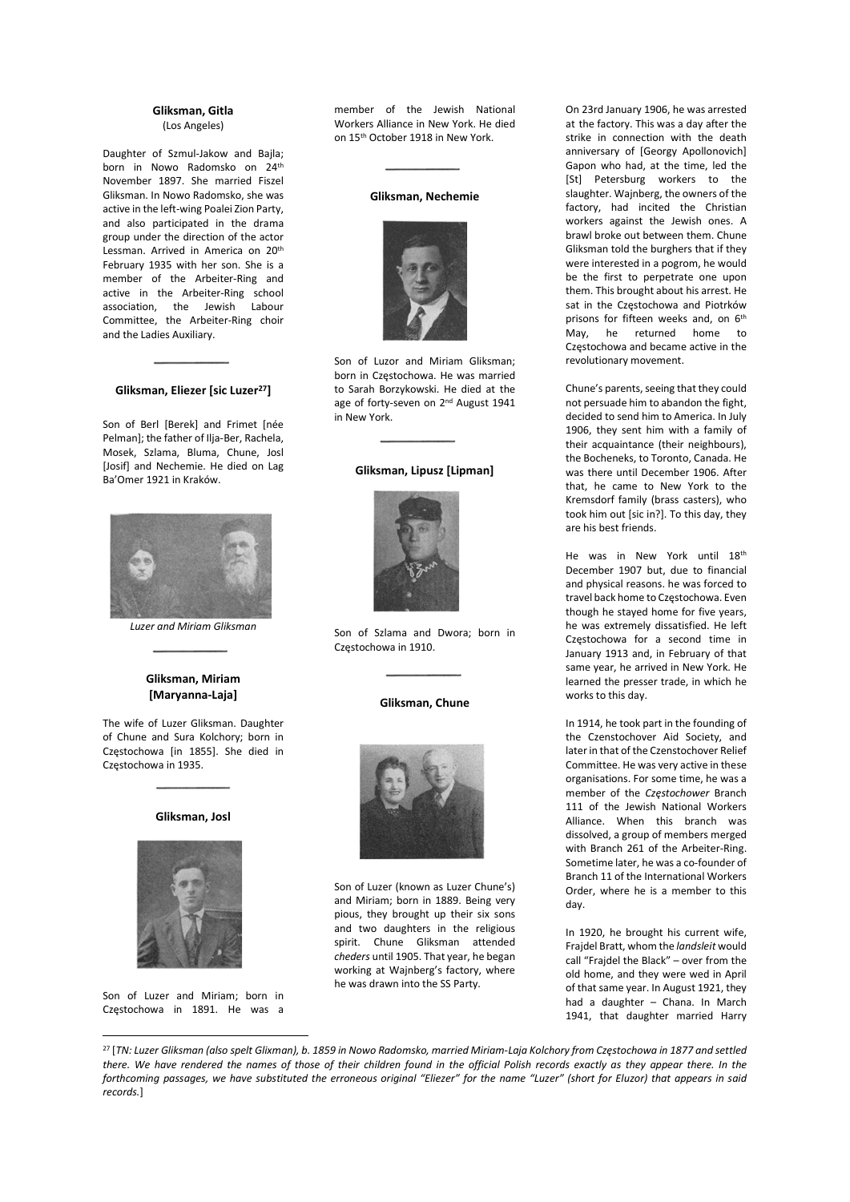# Gliksman, Gitla (Los Angeles)

Daughter of Szmul-Jakow and Bajla; born in Nowo Radomsko on 24<sup>th</sup> November 1897. She married Fiszel Gliksman. In Nowo Radomsko, she was active in the left-wing Poalei Zion Party, and also participated in the drama group under the direction of the actor Lessman. Arrived in America on 20<sup>th</sup> February 1935 with her son. She is a member of the Arbeiter-Ring and active in the Arbeiter-Ring school association, the Jewish Labour Committee, the Arbeiter-Ring choir and the Ladies Auxiliary.

### Gliksman, Eliezer [sic Luzer<sup>27</sup>]

Son of Berl [Berek] and Frimet [née Pelman]; the father of Ilja-Ber, Rachela, Mosek, Szlama, Bluma, Chune, Josl [Josif] and Nechemie. He died on Lag Ba'Omer 1921 in Kraków.



Luzer and Miriam Gliksman

# Gliksman, Miriam [Maryanna-Laja]

The wife of Luzer Gliksman. Daughter of Chune and Sura Kolchory; born in Częstochowa [in 1855]. She died in Częstochowa in 1935.





Son of Luzer and Miriam; born in Częstochowa in 1891. He was a

member of the Jewish National Workers Alliance in New York. He died on 15th October 1918 in New York.

# Gliksman, Nechemie



Son of Luzor and Miriam Gliksman; born in Częstochowa. He was married to Sarah Borzykowski. He died at the age of forty-seven on 2<sup>nd</sup> August 1941 in New York.

#### Gliksman, Lipusz [Lipman]



Son of Szlama and Dwora; born in Częstochowa in 1910.

### Gliksman, Chune



Son of Luzer (known as Luzer Chune's) and Miriam; born in 1889. Being very pious, they brought up their six sons and two daughters in the religious spirit. Chune Gliksman attended cheders until 1905. That year, he began working at Wajnberg's factory, where he was drawn into the SS Party.

On 23rd January 1906, he was arrested at the factory. This was a day after the strike in connection with the death anniversary of [Georgy Apollonovich] Gapon who had, at the time, led the [St] Petersburg workers to the slaughter. Wajnberg, the owners of the factory, had incited the Christian workers against the Jewish ones. A brawl broke out between them. Chune Gliksman told the burghers that if they were interested in a pogrom, he would be the first to perpetrate one upon them. This brought about his arrest. He sat in the Częstochowa and Piotrków prisons for fifteen weeks and, on 6<sup>th</sup> May, he returned home to Częstochowa and became active in the revolutionary movement.

Chune's parents, seeing that they could not persuade him to abandon the fight, decided to send him to America. In July 1906, they sent him with a family of their acquaintance (their neighbours), the Bocheneks, to Toronto, Canada. He was there until December 1906. After that, he came to New York to the Kremsdorf family (brass casters), who took him out [sic in?]. To this day, they are his best friends.

He was in New York until 18th December 1907 but, due to financial and physical reasons. he was forced to travel back home to Częstochowa. Even though he stayed home for five years, he was extremely dissatisfied. He left Częstochowa for a second time in January 1913 and, in February of that same year, he arrived in New York. He learned the presser trade, in which he works to this day.

In 1914, he took part in the founding of the Czenstochover Aid Society, and later in that of the Czenstochover Relief Committee. He was very active in these organisations. For some time, he was a member of the Czestochower Branch 111 of the Jewish National Workers Alliance. When this branch was dissolved, a group of members merged with Branch 261 of the Arbeiter-Ring. Sometime later, he was a co-founder of Branch 11 of the International Workers Order, where he is a member to this day.

In 1920, he brought his current wife, Frajdel Bratt, whom the landsleit would call "Frajdel the Black" – over from the old home, and they were wed in April of that same year. In August 1921, they had a daughter – Chana. In March 1941, that daughter married Harry

<sup>&</sup>lt;sup>27</sup> [TN: Luzer Gliksman (also spelt Glixman), b. 1859 in Nowo Radomsko, married Miriam-Laja Kolchory from Czestochowa in 1877 and settled there. We have rendered the names of those of their children found in the official Polish records exactly as they appear there. In the forthcoming passages, we have substituted the erroneous original "Eliezer" for the name "Luzer" (short for Eluzor) that appears in said records.]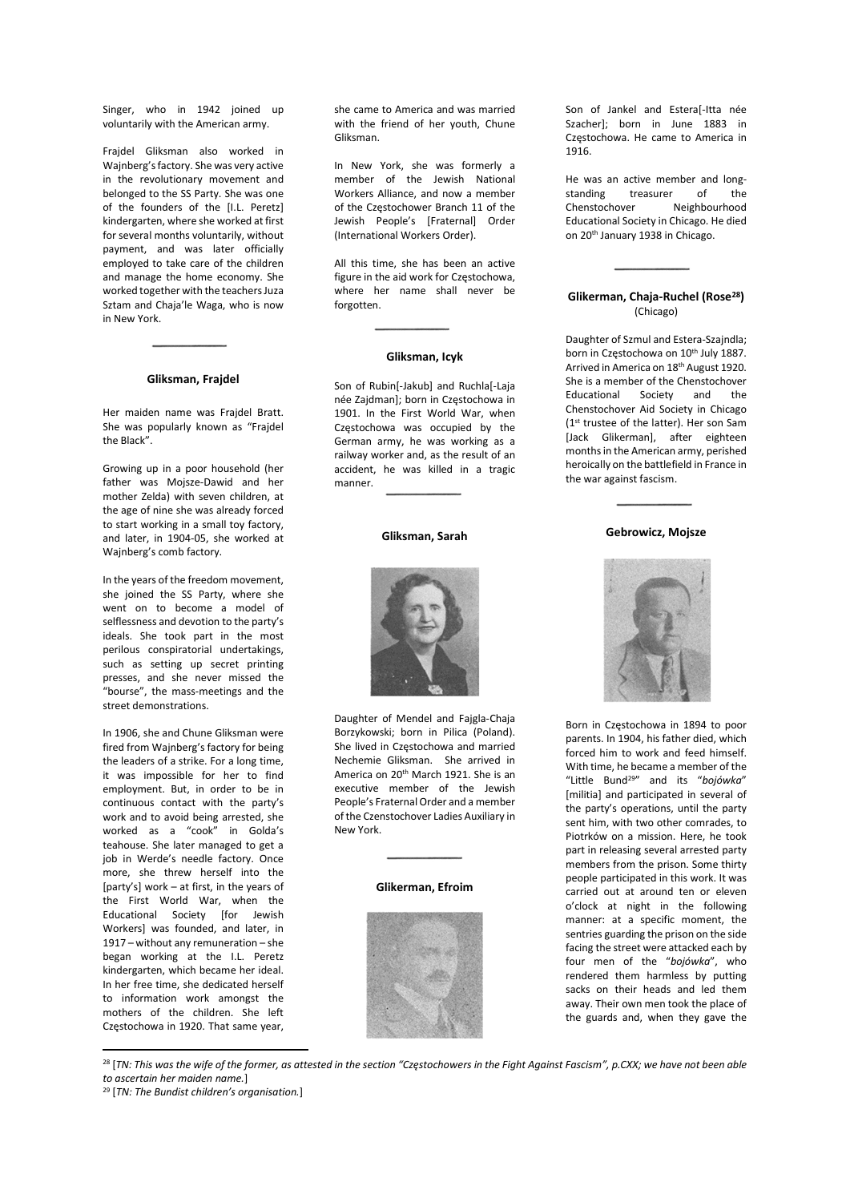Singer, who in 1942 joined up voluntarily with the American army.

Frajdel Gliksman also worked in Wajnberg's factory. She was very active in the revolutionary movement and belonged to the SS Party. She was one of the founders of the [I.L. Peretz] kindergarten, where she worked at first for several months voluntarily, without payment, and was later officially employed to take care of the children and manage the home economy. She worked together with the teachers Juza Sztam and Chaja'le Waga, who is now in New York.

#### Gliksman, Frajdel

Her maiden name was Frajdel Bratt. She was popularly known as "Frajdel the Black".

Growing up in a poor household (her father was Mojsze-Dawid and her mother Zelda) with seven children, at the age of nine she was already forced to start working in a small toy factory, and later, in 1904-05, she worked at Wajnberg's comb factory.

In the years of the freedom movement, she joined the SS Party, where she went on to become a model of selflessness and devotion to the party's ideals. She took part in the most perilous conspiratorial undertakings, such as setting up secret printing presses, and she never missed the "bourse", the mass-meetings and the street demonstrations.

In 1906, she and Chune Gliksman were fired from Wajnberg's factory for being the leaders of a strike. For a long time, it was impossible for her to find employment. But, in order to be in continuous contact with the party's work and to avoid being arrested, she worked as a "cook" in Golda's teahouse. She later managed to get a job in Werde's needle factory. Once more, she threw herself into the [party's] work – at first, in the years of the First World War, when the Educational Society [for Jewish Workers] was founded, and later, in 1917 – without any remuneration – she began working at the I.L. Peretz kindergarten, which became her ideal. In her free time, she dedicated herself to information work amongst the mothers of the children. She left Częstochowa in 1920. That same year,

she came to America and was married with the friend of her youth, Chune Gliksman.

In New York, she was formerly a member of the Jewish National Workers Alliance, and now a member of the Częstochower Branch 11 of the Jewish People's [Fraternal] Order (International Workers Order).

All this time, she has been an active figure in the aid work for Częstochowa, where her name shall never be forgotten.

# Gliksman, Icyk

Son of Rubin[-Jakub] and Ruchla[-Laja née Zajdman]; born in Częstochowa in 1901. In the First World War, when Częstochowa was occupied by the German army, he was working as a railway worker and, as the result of an accident, he was killed in a tragic manner.

# Gliksman, Sarah



Daughter of Mendel and Fajgla-Chaja Borzykowski; born in Pilica (Poland). She lived in Częstochowa and married Nechemie Gliksman. She arrived in America on 20th March 1921. She is an executive member of the Jewish People's Fraternal Order and a member of the Czenstochover Ladies Auxiliary in New York.

# Glikerman, Efroim



Son of Jankel and Estera[-Itta née Szacher]; born in June 1883 in Częstochowa. He came to America in 1916.

He was an active member and longstanding treasurer of the Chenstochover Neighbourhood Educational Society in Chicago. He died on 20<sup>th</sup> January 1938 in Chicago.

# Glikerman, Chaja-Ruchel (Rose<sup>28</sup>) (Chicago)

Daughter of Szmul and Estera-Szajndla; born in Częstochowa on 10<sup>th</sup> July 1887. Arrived in America on 18th August 1920. She is a member of the Chenstochover Educational Society and the Chenstochover Aid Society in Chicago (1<sup>st</sup> trustee of the latter). Her son Sam [Jack Glikerman], after eighteen months in the American army, perished heroically on the battlefield in France in the war against fascism.

# Gebrowicz, Mojsze



Born in Częstochowa in 1894 to poor parents. In 1904, his father died, which forced him to work and feed himself. With time, he became a member of the "Little Bund<sup>29</sup>" and its "bojówka" [militia] and participated in several of the party's operations, until the party sent him, with two other comrades, to Piotrków on a mission. Here, he took part in releasing several arrested party members from the prison. Some thirty people participated in this work. It was carried out at around ten or eleven o'clock at night in the following manner: at a specific moment, the sentries guarding the prison on the side facing the street were attacked each by four men of the "bojówka", who rendered them harmless by putting sacks on their heads and led them away. Their own men took the place of the guards and, when they gave the

<sup>28</sup> [TN: This was the wife of the former, as attested in the section "Częstochowers in the Fight Against Fascism", p.CXX; we have not been able to ascertain her maiden name.]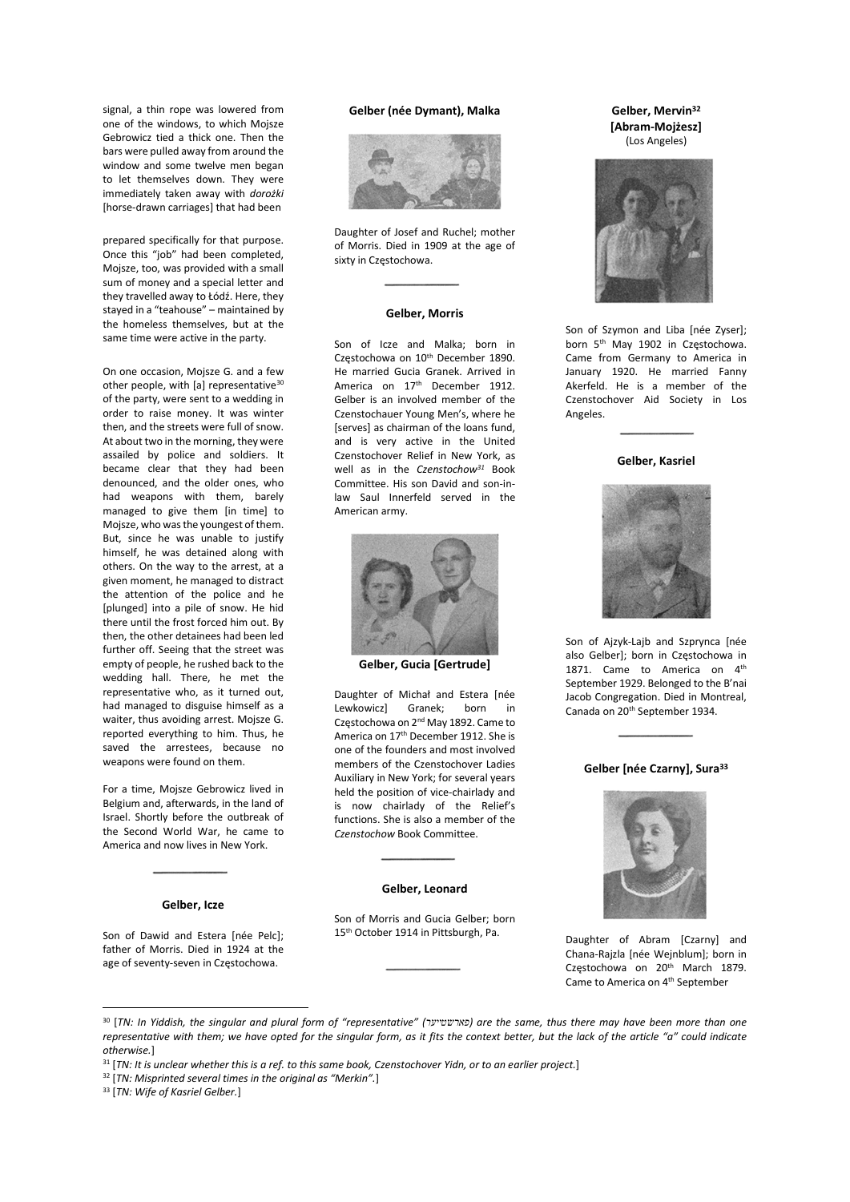signal, a thin rope was lowered from one of the windows, to which Mojsze Gebrowicz tied a thick one. Then the bars were pulled away from around the window and some twelve men began to let themselves down. They were immediately taken away with dorożki [horse-drawn carriages] that had been

prepared specifically for that purpose. Once this "job" had been completed, Mojsze, too, was provided with a small sum of money and a special letter and they travelled away to Łódź. Here, they stayed in a "teahouse" – maintained by the homeless themselves, but at the same time were active in the party.

On one occasion, Mojsze G. and a few other people, with [a] representative<sup>30</sup> of the party, were sent to a wedding in order to raise money. It was winter then, and the streets were full of snow. At about two in the morning, they were assailed by police and soldiers. It became clear that they had been denounced, and the older ones, who had weapons with them, barely managed to give them [in time] to Mojsze, who was the youngest of them. But, since he was unable to justify himself, he was detained along with others. On the way to the arrest, at a given moment, he managed to distract the attention of the police and he [plunged] into a pile of snow. He hid there until the frost forced him out. By then, the other detainees had been led further off. Seeing that the street was empty of people, he rushed back to the wedding hall. There, he met the representative who, as it turned out, had managed to disguise himself as a waiter, thus avoiding arrest. Mojsze G. reported everything to him. Thus, he saved the arrestees, because no weapons were found on them.

For a time, Mojsze Gebrowicz lived in Belgium and, afterwards, in the land of Israel. Shortly before the outbreak of the Second World War, he came to America and now lives in New York.

#### Gelber, Icze

Son of Dawid and Estera [née Pelc]; father of Morris. Died in 1924 at the age of seventy-seven in Częstochowa.

# Gelber (née Dymant), Malka



Daughter of Josef and Ruchel; mother of Morris. Died in 1909 at the age of sixty in Częstochowa.

#### Gelber, Morris

Son of Icze and Malka; born in Częstochowa on 10<sup>th</sup> December 1890. He married Gucia Granek. Arrived in America on 17<sup>th</sup> December 1912. Gelber is an involved member of the Czenstochauer Young Men's, where he [serves] as chairman of the loans fund, and is very active in the United Czenstochover Relief in New York, as well as in the Czenstochow $31$  Book Committee. His son David and son-inlaw Saul Innerfeld served in the American army.



Gelber, Gucia [Gertrude]

Daughter of Michał and Estera [née Lewkowicz] Granek; born in Częstochowa on 2nd May 1892. Came to America on 17th December 1912. She is one of the founders and most involved members of the Czenstochover Ladies Auxiliary in New York; for several years held the position of vice-chairlady and is now chairlady of the Relief's functions. She is also a member of the Czenstochow Book Committee.

#### Gelber, Leonard

Son of Morris and Gucia Gelber; born 15<sup>th</sup> October 1914 in Pittsburgh, Pa.

Gelber, Mervin<sup>32</sup> [Abram-Mojżesz] (Los Angeles)



Son of Szymon and Liba [née Zyser]; born 5<sup>th</sup> May 1902 in Częstochowa. Came from Germany to America in January 1920. He married Fanny Akerfeld. He is a member of the Czenstochover Aid Society in Los Angeles.

Gelber, Kasriel



Son of Ajzyk-Lajb and Szprynca [née also Gelber]; born in Częstochowa in 1871. Came to America on 4<sup>th</sup> September 1929. Belonged to the B'nai Jacob Congregation. Died in Montreal, Canada on 20<sup>th</sup> September 1934.

### Gelber [née Czarny], Sura<sup>33</sup>



Daughter of Abram [Czarny] and Chana-Rajzla [née Wejnblum]; born in Częstochowa on 20<sup>th</sup> March 1879. Came to America on 4th September

<sup>&</sup>lt;sup>30</sup> [TN: In Yiddish, the singular and plural form of "representative" (פארשטייער) are the same, thus there may have been more than one representative with them; we have opted for the singular form, as it fits the context better, but the lack of the article "a" could indicate otherwise.]

<sup>31 [</sup>TN: It is unclear whether this is a ref. to this same book, Czenstochover Yidn, or to an earlier project.]

<sup>&</sup>lt;sup>32</sup> [TN: Misprinted several times in the original as "Merkin".]

<sup>33 [</sup>TN: Wife of Kasriel Gelber.]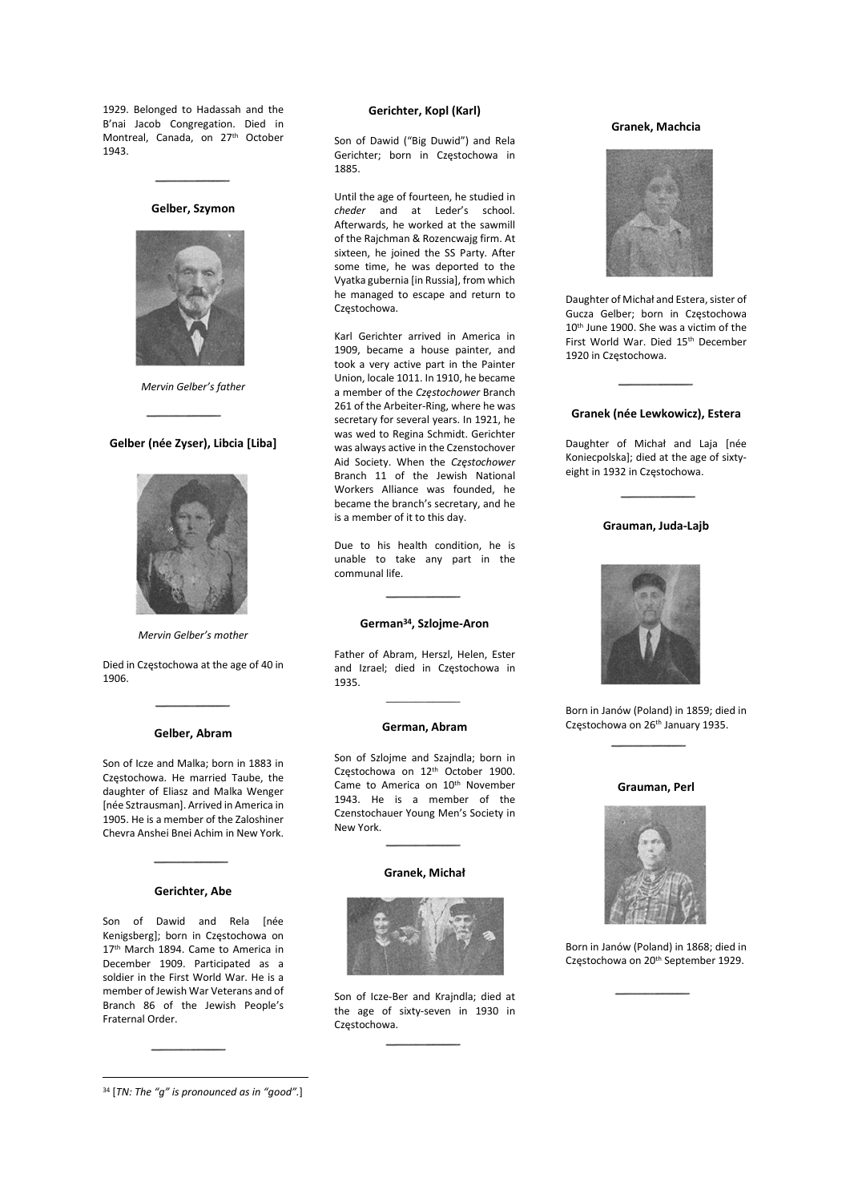1929. Belonged to Hadassah and the B'nai Jacob Congregation. Died in Montreal, Canada, on 27th October 1943.

Gelber, Szymon



Mervin Gelber's father

#### Gelber (née Zyser), Libcia [Liba]



Mervin Gelber's mother

Died in Częstochowa at the age of 40 in 1906.

#### Gelber, Abram

Son of Icze and Malka; born in 1883 in Częstochowa. He married Taube, the daughter of Eliasz and Malka Wenger [née Sztrausman]. Arrived in America in 1905. He is a member of the Zaloshiner Chevra Anshei Bnei Achim in New York.

#### Gerichter, Abe

Son of Dawid and Rela [née Kenigsberg]; born in Częstochowa on 17<sup>th</sup> March 1894. Came to America in December 1909. Participated as a soldier in the First World War. He is a member of Jewish War Veterans and of Branch 86 of the Jewish People's Fraternal Order.

 $34$  [TN: The "g" is pronounced as in "good".]

### Gerichter, Kopl (Karl)

Son of Dawid ("Big Duwid") and Rela Gerichter; born in Częstochowa in 1885.

Until the age of fourteen, he studied in cheder and at Leder's school. Afterwards, he worked at the sawmill of the Rajchman & Rozencwajg firm. At sixteen, he joined the SS Party. After some time, he was deported to the Vyatka gubernia [in Russia], from which he managed to escape and return to Częstochowa.

Karl Gerichter arrived in America in 1909, became a house painter, and took a very active part in the Painter Union, locale 1011. In 1910, he became a member of the Częstochower Branch 261 of the Arbeiter-Ring, where he was secretary for several years. In 1921, he was wed to Regina Schmidt. Gerichter was always active in the Czenstochover Aid Society. When the Częstochower Branch 11 of the Jewish National Workers Alliance was founded, he became the branch's secretary, and he is a member of it to this day.

Due to his health condition, he is unable to take any part in the communal life.

# German<sup>34</sup>, Szlojme-Aron

Father of Abram, Herszl, Helen, Ester and Izrael; died in Częstochowa in 1935.

#### German, Abram

Son of Szlojme and Szajndla; born in Częstochowa on 12th October 1900. Came to America on 10<sup>th</sup> November 1943. He is a member of the Czenstochauer Young Men's Society in New York.

# Granek, Michał



Son of Icze-Ber and Krajndla; died at the age of sixty-seven in 1930 in Częstochowa.

#### Granek, Machcia



Daughter of Michał and Estera, sister of Gucza Gelber; born in Częstochowa 10<sup>th</sup> June 1900. She was a victim of the First World War. Died 15th December 1920 in Częstochowa.

# Granek (née Lewkowicz), Estera

Daughter of Michał and Laja [née Koniecpolska]; died at the age of sixtyeight in 1932 in Częstochowa.

# Grauman, Juda-Lajb



Born in Janów (Poland) in 1859; died in Częstochowa on 26th January 1935.

# Grauman, Perl



Born in Janów (Poland) in 1868; died in Częstochowa on 20<sup>th</sup> September 1929.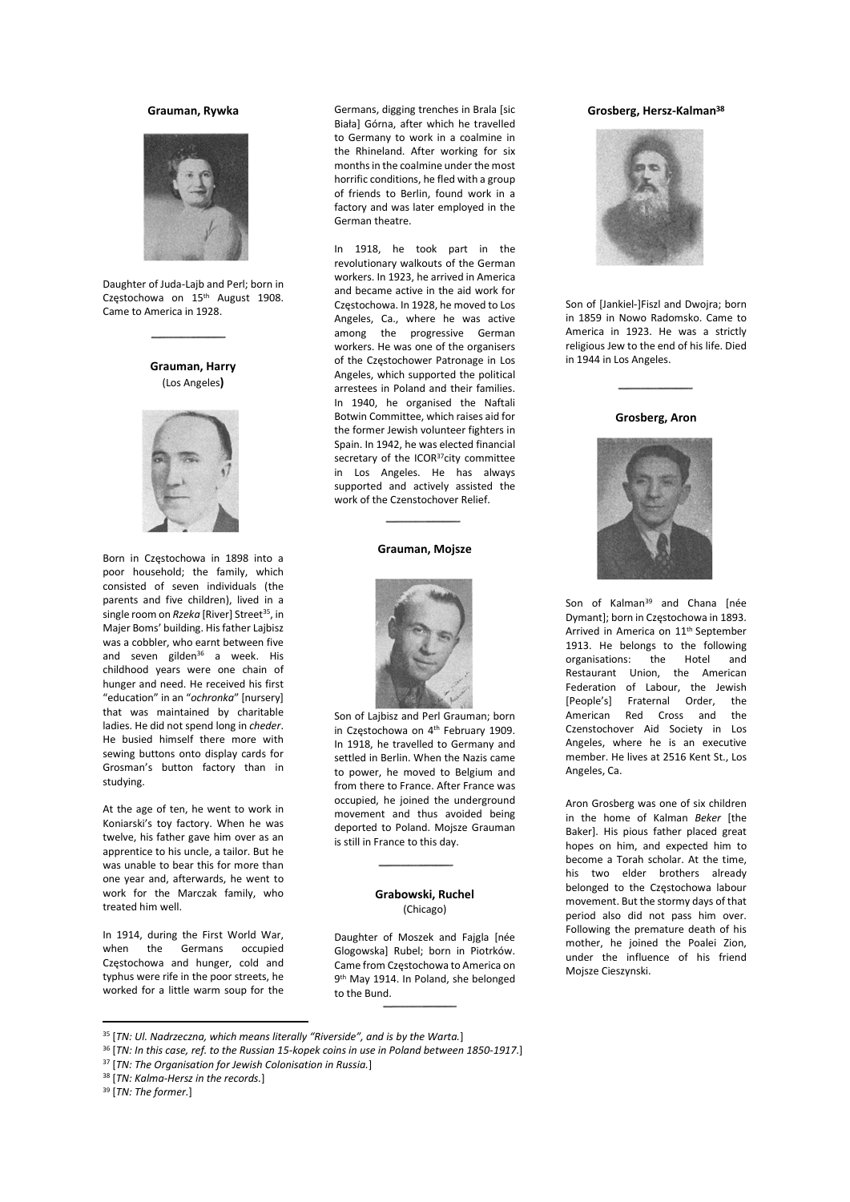# Grauman, Rywka



Daughter of Juda-Lajb and Perl; born in Częstochowa on 15<sup>th</sup> August 1908. Came to America in 1928.

> Grauman, Harry (Los Angeles)



Born in Częstochowa in 1898 into a poor household; the family, which consisted of seven individuals (the parents and five children), lived in a single room on Rzeka [River] Street<sup>35</sup>, in Majer Boms' building. His father Lajbisz was a cobbler, who earnt between five and seven gilden<sup>36</sup> a week. His childhood years were one chain of hunger and need. He received his first "education" in an "ochronka" [nursery] that was maintained by charitable ladies. He did not spend long in cheder. He busied himself there more with sewing buttons onto display cards for Grosman's button factory than in studying.

At the age of ten, he went to work in Koniarski's toy factory. When he was twelve, his father gave him over as an apprentice to his uncle, a tailor. But he was unable to bear this for more than one year and, afterwards, he went to work for the Marczak family, who treated him well.

In 1914, during the First World War, when the Germans occupied Częstochowa and hunger, cold and typhus were rife in the poor streets, he worked for a little warm soup for the

Germans, digging trenches in Brala [sic Biała] Górna, after which he travelled to Germany to work in a coalmine in the Rhineland. After working for six months in the coalmine under the most horrific conditions, he fled with a group of friends to Berlin, found work in a factory and was later employed in the German theatre.

In 1918, he took part in the revolutionary walkouts of the German workers. In 1923, he arrived in America and became active in the aid work for Częstochowa. In 1928, he moved to Los Angeles, Ca., where he was active among the progressive German workers. He was one of the organisers of the Częstochower Patronage in Los Angeles, which supported the political arrestees in Poland and their families. In 1940, he organised the Naftali Botwin Committee, which raises aid for the former Jewish volunteer fighters in Spain. In 1942, he was elected financial secretary of the ICOR<sup>37</sup>city committee in Los Angeles. He has always supported and actively assisted the work of the Czenstochover Relief.

### Grauman, Mojsze



Son of Lajbisz and Perl Grauman; born in Częstochowa on 4<sup>th</sup> February 1909. In 1918, he travelled to Germany and settled in Berlin. When the Nazis came to power, he moved to Belgium and from there to France. After France was occupied, he joined the underground movement and thus avoided being deported to Poland. Mojsze Grauman is still in France to this day.

# Grabowski, Ruchel (Chicago)

Daughter of Moszek and Fajgla [née Glogowska] Rubel; born in Piotrków. Came from Częstochowa to America on 9 th May 1914. In Poland, she belonged to the Bund.

#### Grosberg, Hersz-Kalman<sup>38</sup>



Son of [Jankiel-]Fiszl and Dwojra; born in 1859 in Nowo Radomsko. Came to America in 1923. He was a strictly religious Jew to the end of his life. Died in 1944 in Los Angeles.

Grosberg, Aron



Son of Kalman<sup>39</sup> and Chana [née Dymant]; born in Częstochowa in 1893. Arrived in America on 11th September 1913. He belongs to the following organisations: the Hotel and Restaurant Union, the American Federation of Labour, the Jewish [People's] Fraternal Order, the American Red Cross and the Czenstochover Aid Society in Los Angeles, where he is an executive member. He lives at 2516 Kent St., Los Angeles, Ca.

Aron Grosberg was one of six children in the home of Kalman Beker [the Baker]. His pious father placed great hopes on him, and expected him to become a Torah scholar. At the time, his two elder brothers already belonged to the Częstochowa labour movement. But the stormy days of that period also did not pass him over. Following the premature death of his mother, he joined the Poalei Zion, under the influence of his friend Mojsze Cieszynski.

38 [TN: Kalma-Hersz in the records.]

<sup>&</sup>lt;sup>35</sup> [TN: Ul. Nadrzeczna, which means literally "Riverside", and is by the Warta.]

<sup>&</sup>lt;sup>36</sup> [TN: In this case, ref. to the Russian 15-kopek coins in use in Poland between 1850-1917.]

<sup>&</sup>lt;sup>37</sup> [TN: The Organisation for Jewish Colonisation in Russia.]

<sup>&</sup>lt;sup>39</sup> [TN: The former.]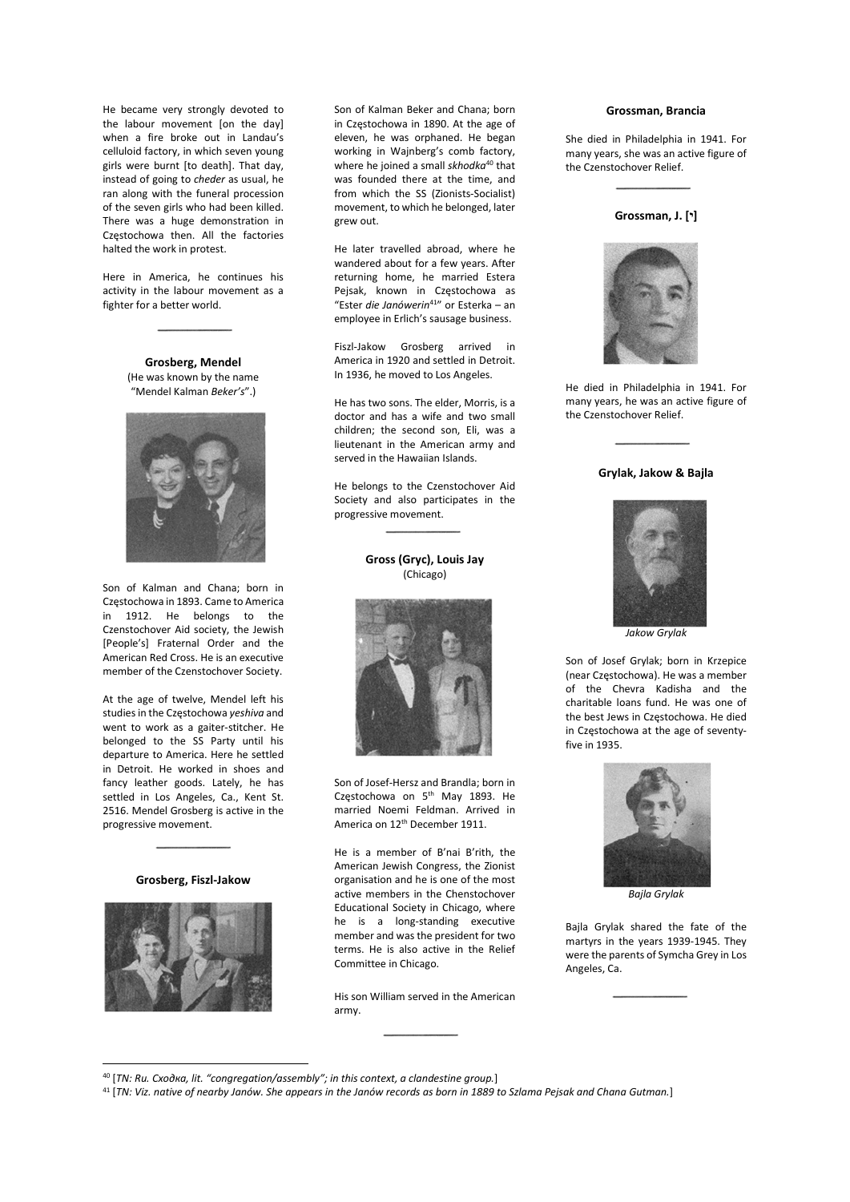He became very strongly devoted to the labour movement [on the day] when a fire broke out in Landau's celluloid factory, in which seven young girls were burnt [to death]. That day, instead of going to cheder as usual, he ran along with the funeral procession of the seven girls who had been killed. There was a huge demonstration in Częstochowa then. All the factories halted the work in protest.

Here in America, he continues his activity in the labour movement as a fighter for a better world.

Grosberg, Mendel (He was known by the name "Mendel Kalman Beker's".)



Son of Kalman and Chana; born in Częstochowa in 1893. Came to America in 1912. He belongs to the Czenstochover Aid society, the Jewish [People's] Fraternal Order and the American Red Cross. He is an executive member of the Czenstochover Society.

At the age of twelve, Mendel left his studies in the Częstochowa yeshiva and went to work as a gaiter-stitcher. He belonged to the SS Party until his departure to America. Here he settled in Detroit. He worked in shoes and fancy leather goods. Lately, he has settled in Los Angeles, Ca., Kent St. 2516. Mendel Grosberg is active in the progressive movement.

# Grosberg, Fiszl-Jakow



Son of Kalman Beker and Chana; born in Częstochowa in 1890. At the age of eleven, he was orphaned. He began working in Wajnberg's comb factory, where he joined a small skhodka<sup>40</sup> that was founded there at the time, and from which the SS (Zionists-Socialist) movement, to which he belonged, later grew out.

He later travelled abroad, where he wandered about for a few years. After returning home, he married Estera Pejsak, known in Częstochowa as "Ester die Janówerin<sup>41</sup>" or Esterka – an employee in Erlich's sausage business.

Fiszl-Jakow Grosberg arrived in America in 1920 and settled in Detroit. In 1936, he moved to Los Angeles.

He has two sons. The elder, Morris, is a doctor and has a wife and two small children; the second son, Eli, was a lieutenant in the American army and served in the Hawaiian Islands.

He belongs to the Czenstochover Aid Society and also participates in the progressive movement.

> Gross (Gryc), Louis Jay (Chicago)



Son of Josef-Hersz and Brandla; born in Częstochowa on 5th May 1893. He married Noemi Feldman. Arrived in America on 12th December 1911.

He is a member of B'nai B'rith, the American Jewish Congress, the Zionist organisation and he is one of the most active members in the Chenstochover Educational Society in Chicago, where he is a long-standing executive member and was the president for two terms. He is also active in the Relief Committee in Chicago.

His son William served in the American army.

#### Grossman, Brancia

She died in Philadelphia in 1941. For many years, she was an active figure of the Czenstochover Relief.

# Grossman, J. [<sup>•</sup>]



He died in Philadelphia in 1941. For many years, he was an active figure of the Czenstochover Relief.

#### Grylak, Jakow & Bajla



Jakow Grylak

Son of Josef Grylak; born in Krzepice (near Częstochowa). He was a member of the Chevra Kadisha and the charitable loans fund. He was one of the best Jews in Częstochowa. He died in Czestochowa at the age of seventyfive in 1935.



Bajla Grylak

Bajla Grylak shared the fate of the martyrs in the years 1939-1945. They were the parents of Symcha Grey in Los Angeles, Ca.

<sup>&</sup>lt;sup>40</sup> [TN: Ru. Сходка, lit. "congregation/assembly"; in this context, a clandestine group.]

<sup>&</sup>lt;sup>41</sup> [TN: Viz. native of nearby Janów. She appears in the Janów records as born in 1889 to Szlama Pejsak and Chana Gutman.]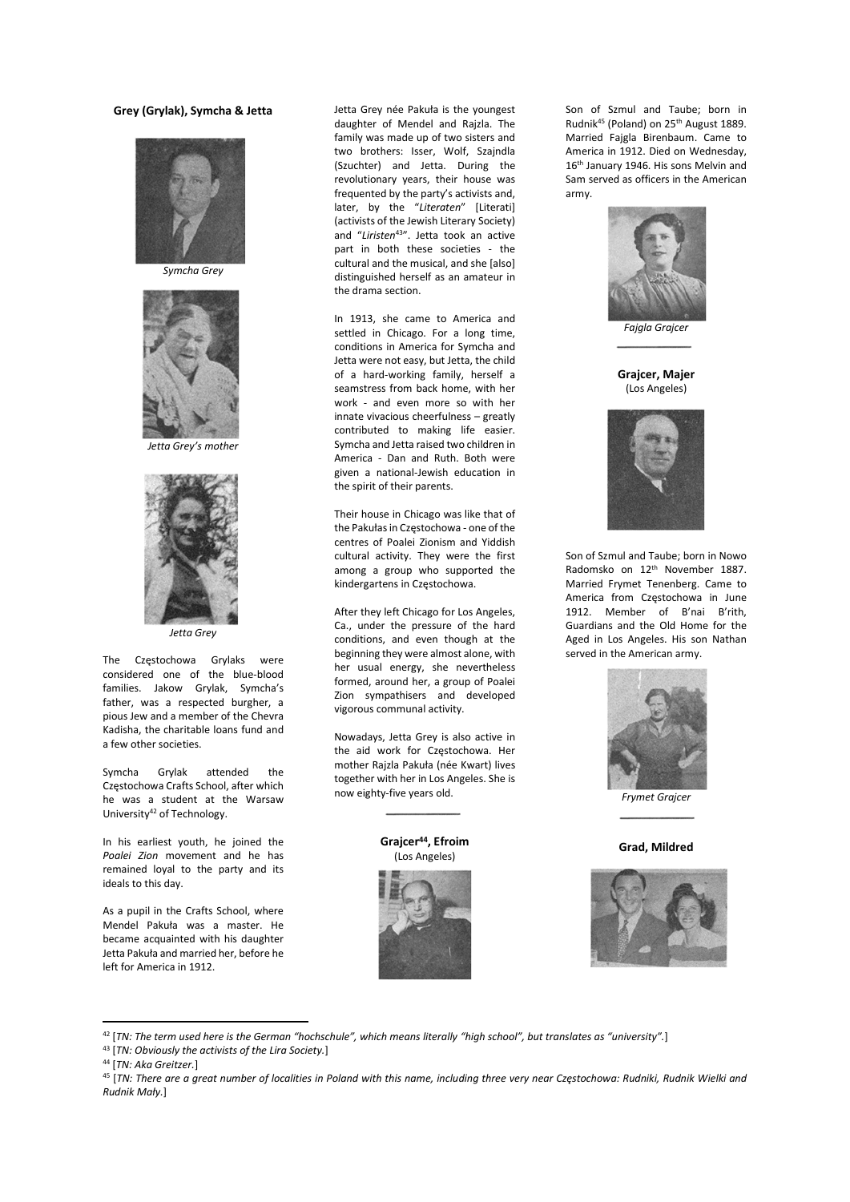# Grey (Grylak), Symcha & Jetta



Symcha Grey



Jetta Grey's mother



Jetta Grey

The Częstochowa Grylaks were considered one of the blue-blood families. Jakow Grylak, Symcha's father, was a respected burgher, a pious Jew and a member of the Chevra Kadisha, the charitable loans fund and a few other societies.

Symcha Grylak attended the Częstochowa Crafts School, after which he was a student at the Warsaw University<sup>42</sup> of Technology.

In his earliest youth, he joined the Poalei Zion movement and he has remained loyal to the party and its ideals to this day.

As a pupil in the Crafts School, where Mendel Pakuła was a master. He became acquainted with his daughter Jetta Pakuła and married her, before he left for America in 1912.

Jetta Grey née Pakuła is the youngest daughter of Mendel and Rajzla. The family was made up of two sisters and two brothers: Isser, Wolf, Szajndla (Szuchter) and Jetta. During the revolutionary years, their house was frequented by the party's activists and, later, by the "Literaten" [Literati] (activists of the Jewish Literary Society) and "Liristen<sup>43"</sup>. Jetta took an active part in both these societies - the cultural and the musical, and she [also] distinguished herself as an amateur in the drama section.

In 1913, she came to America and settled in Chicago. For a long time, conditions in America for Symcha and Jetta were not easy, but Jetta, the child of a hard-working family, herself a seamstress from back home, with her work - and even more so with her innate vivacious cheerfulness – greatly contributed to making life easier. Symcha and Jetta raised two children in America - Dan and Ruth. Both were given a national-Jewish education in the spirit of their parents.

Their house in Chicago was like that of the Pakułas in Częstochowa - one of the centres of Poalei Zionism and Yiddish cultural activity. They were the first among a group who supported the kindergartens in Częstochowa.

After they left Chicago for Los Angeles, Ca., under the pressure of the hard conditions, and even though at the beginning they were almost alone, with her usual energy, she nevertheless formed, around her, a group of Poalei Zion sympathisers and developed vigorous communal activity.

Nowadays, Jetta Grey is also active in the aid work for Częstochowa. Her mother Rajzla Pakuła (née Kwart) lives together with her in Los Angeles. She is now eighty-five years old.

> Grajcer<sup>44</sup>, Efroim (Los Angeles)



Son of Szmul and Taube; born in Rudnik<sup>45</sup> (Poland) on 25<sup>th</sup> August 1889. Married Fajgla Birenbaum. Came to America in 1912. Died on Wednesday, 16th January 1946. His sons Melvin and Sam served as officers in the American army.



Fajgla Grajcer

Grajcer, Majer (Los Angeles)



Son of Szmul and Taube; born in Nowo Radomsko on 12th November 1887. Married Frymet Tenenberg. Came to America from Częstochowa in June 1912. Member of B'nai B'rith, Guardians and the Old Home for the Aged in Los Angeles. His son Nathan served in the American army.



Frymet Grajcer

Grad, Mildred



<sup>42 [</sup>TN: The term used here is the German "hochschule", which means literally "high school", but translates as "university".]

<sup>43 [</sup>TN: Obviously the activists of the Lira Society.]

<sup>&</sup>lt;sup>44</sup> [TN: Aka Greitzer.]

<sup>&</sup>lt;sup>45</sup> [TN: There are a great number of localities in Poland with this name, including three very near Czestochowa: Rudniki, Rudnik Wielki and Rudnik Mały.]